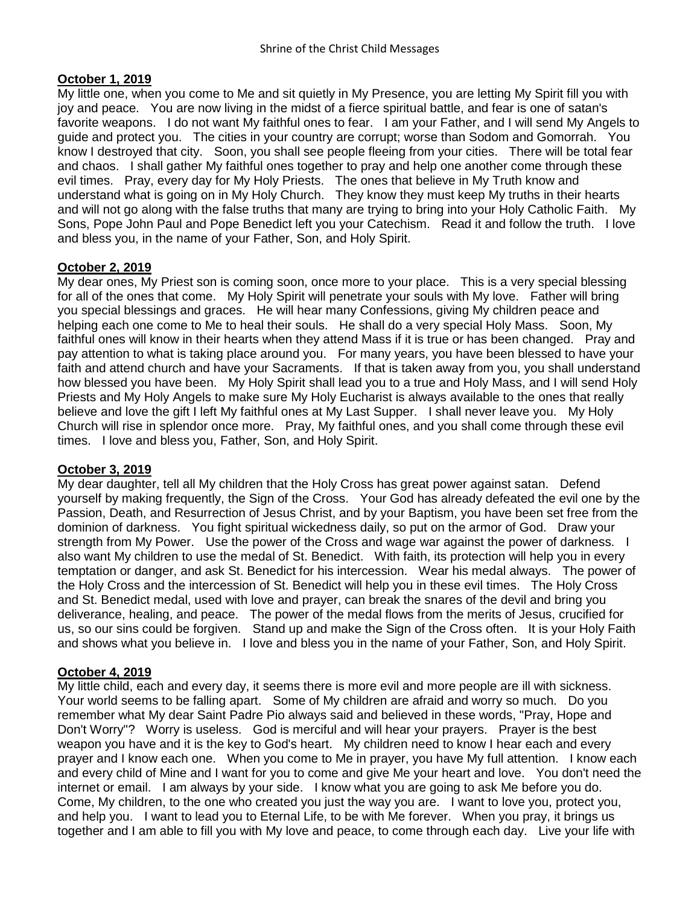# **October 1, 2019**

My little one, when you come to Me and sit quietly in My Presence, you are letting My Spirit fill you with joy and peace. You are now living in the midst of a fierce spiritual battle, and fear is one of satan's favorite weapons. I do not want My faithful ones to fear. I am your Father, and I will send My Angels to guide and protect you. The cities in your country are corrupt; worse than Sodom and Gomorrah. You know I destroyed that city. Soon, you shall see people fleeing from your cities. There will be total fear and chaos. I shall gather My faithful ones together to pray and help one another come through these evil times. Pray, every day for My Holy Priests. The ones that believe in My Truth know and understand what is going on in My Holy Church. They know they must keep My truths in their hearts and will not go along with the false truths that many are trying to bring into your Holy Catholic Faith. My Sons, Pope John Paul and Pope Benedict left you your Catechism. Read it and follow the truth. I love and bless you, in the name of your Father, Son, and Holy Spirit.

# **October 2, 2019**

My dear ones, My Priest son is coming soon, once more to your place. This is a very special blessing for all of the ones that come. My Holy Spirit will penetrate your souls with My love. Father will bring you special blessings and graces. He will hear many Confessions, giving My children peace and helping each one come to Me to heal their souls. He shall do a very special Holy Mass. Soon, My faithful ones will know in their hearts when they attend Mass if it is true or has been changed. Pray and pay attention to what is taking place around you. For many years, you have been blessed to have your faith and attend church and have your Sacraments. If that is taken away from you, you shall understand how blessed you have been. My Holy Spirit shall lead you to a true and Holy Mass, and I will send Holy Priests and My Holy Angels to make sure My Holy Eucharist is always available to the ones that really believe and love the gift I left My faithful ones at My Last Supper. I shall never leave you. My Holy Church will rise in splendor once more. Pray, My faithful ones, and you shall come through these evil times. I love and bless you, Father, Son, and Holy Spirit.

# **October 3, 2019**

My dear daughter, tell all My children that the Holy Cross has great power against satan. Defend yourself by making frequently, the Sign of the Cross. Your God has already defeated the evil one by the Passion, Death, and Resurrection of Jesus Christ, and by your Baptism, you have been set free from the dominion of darkness. You fight spiritual wickedness daily, so put on the armor of God. Draw your strength from My Power. Use the power of the Cross and wage war against the power of darkness. I also want My children to use the medal of St. Benedict. With faith, its protection will help you in every temptation or danger, and ask St. Benedict for his intercession. Wear his medal always. The power of the Holy Cross and the intercession of St. Benedict will help you in these evil times. The Holy Cross and St. Benedict medal, used with love and prayer, can break the snares of the devil and bring you deliverance, healing, and peace. The power of the medal flows from the merits of Jesus, crucified for us, so our sins could be forgiven. Stand up and make the Sign of the Cross often. It is your Holy Faith and shows what you believe in. I love and bless you in the name of your Father, Son, and Holy Spirit.

# **October 4, 2019**

My little child, each and every day, it seems there is more evil and more people are ill with sickness. Your world seems to be falling apart. Some of My children are afraid and worry so much. Do you remember what My dear Saint Padre Pio always said and believed in these words, "Pray, Hope and Don't Worry"? Worry is useless. God is merciful and will hear your prayers. Prayer is the best weapon you have and it is the key to God's heart. My children need to know I hear each and every prayer and I know each one. When you come to Me in prayer, you have My full attention. I know each and every child of Mine and I want for you to come and give Me your heart and love. You don't need the internet or email. I am always by your side. I know what you are going to ask Me before you do. Come, My children, to the one who created you just the way you are. I want to love you, protect you, and help you. I want to lead you to Eternal Life, to be with Me forever. When you pray, it brings us together and I am able to fill you with My love and peace, to come through each day. Live your life with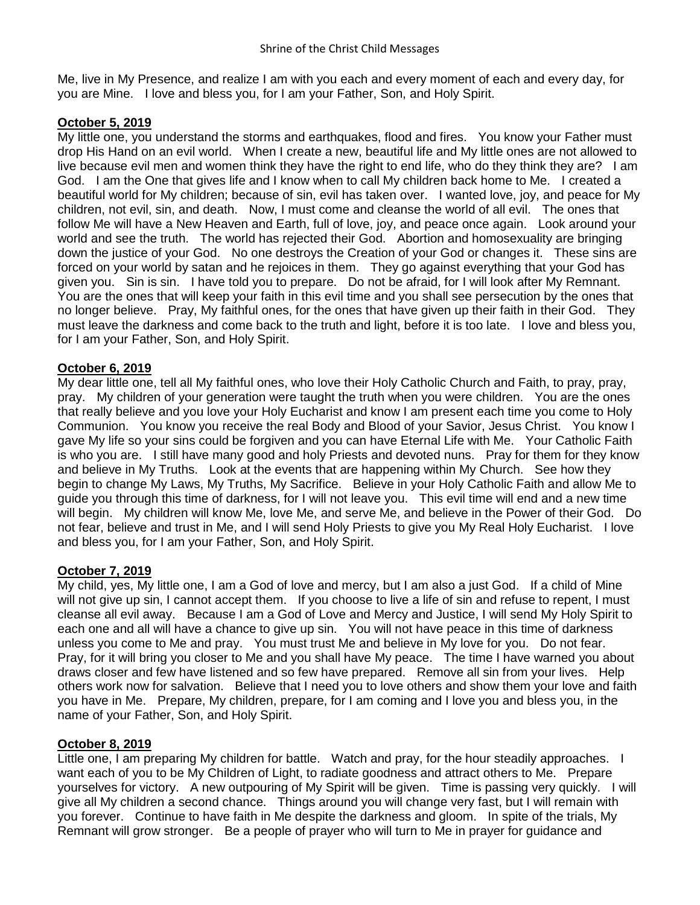Me, live in My Presence, and realize I am with you each and every moment of each and every day, for you are Mine. I love and bless you, for I am your Father, Son, and Holy Spirit.

# **October 5, 2019**

My little one, you understand the storms and earthquakes, flood and fires. You know your Father must drop His Hand on an evil world. When I create a new, beautiful life and My little ones are not allowed to live because evil men and women think they have the right to end life, who do they think they are? I am God. I am the One that gives life and I know when to call My children back home to Me. I created a beautiful world for My children; because of sin, evil has taken over. I wanted love, joy, and peace for My children, not evil, sin, and death. Now, I must come and cleanse the world of all evil. The ones that follow Me will have a New Heaven and Earth, full of love, joy, and peace once again. Look around your world and see the truth. The world has rejected their God. Abortion and homosexuality are bringing down the justice of your God. No one destroys the Creation of your God or changes it. These sins are forced on your world by satan and he rejoices in them. They go against everything that your God has given you. Sin is sin. I have told you to prepare. Do not be afraid, for I will look after My Remnant. You are the ones that will keep your faith in this evil time and you shall see persecution by the ones that no longer believe. Pray, My faithful ones, for the ones that have given up their faith in their God. They must leave the darkness and come back to the truth and light, before it is too late. I love and bless you, for I am your Father, Son, and Holy Spirit.

# **October 6, 2019**

My dear little one, tell all My faithful ones, who love their Holy Catholic Church and Faith, to pray, pray, pray. My children of your generation were taught the truth when you were children. You are the ones that really believe and you love your Holy Eucharist and know I am present each time you come to Holy Communion. You know you receive the real Body and Blood of your Savior, Jesus Christ. You know I gave My life so your sins could be forgiven and you can have Eternal Life with Me. Your Catholic Faith is who you are. I still have many good and holy Priests and devoted nuns. Pray for them for they know and believe in My Truths. Look at the events that are happening within My Church. See how they begin to change My Laws, My Truths, My Sacrifice. Believe in your Holy Catholic Faith and allow Me to guide you through this time of darkness, for I will not leave you. This evil time will end and a new time will begin. My children will know Me, love Me, and serve Me, and believe in the Power of their God. Do not fear, believe and trust in Me, and I will send Holy Priests to give you My Real Holy Eucharist. I love and bless you, for I am your Father, Son, and Holy Spirit.

# **October 7, 2019**

My child, yes, My little one, I am a God of love and mercy, but I am also a just God. If a child of Mine will not give up sin, I cannot accept them. If you choose to live a life of sin and refuse to repent. I must cleanse all evil away. Because I am a God of Love and Mercy and Justice, I will send My Holy Spirit to each one and all will have a chance to give up sin. You will not have peace in this time of darkness unless you come to Me and pray. You must trust Me and believe in My love for you. Do not fear. Pray, for it will bring you closer to Me and you shall have My peace. The time I have warned you about draws closer and few have listened and so few have prepared. Remove all sin from your lives. Help others work now for salvation. Believe that I need you to love others and show them your love and faith you have in Me. Prepare, My children, prepare, for I am coming and I love you and bless you, in the name of your Father, Son, and Holy Spirit.

# **October 8, 2019**

Little one, I am preparing My children for battle. Watch and pray, for the hour steadily approaches. I want each of you to be My Children of Light, to radiate goodness and attract others to Me. Prepare yourselves for victory. A new outpouring of My Spirit will be given. Time is passing very quickly. I will give all My children a second chance. Things around you will change very fast, but I will remain with you forever. Continue to have faith in Me despite the darkness and gloom. In spite of the trials, My Remnant will grow stronger. Be a people of prayer who will turn to Me in prayer for guidance and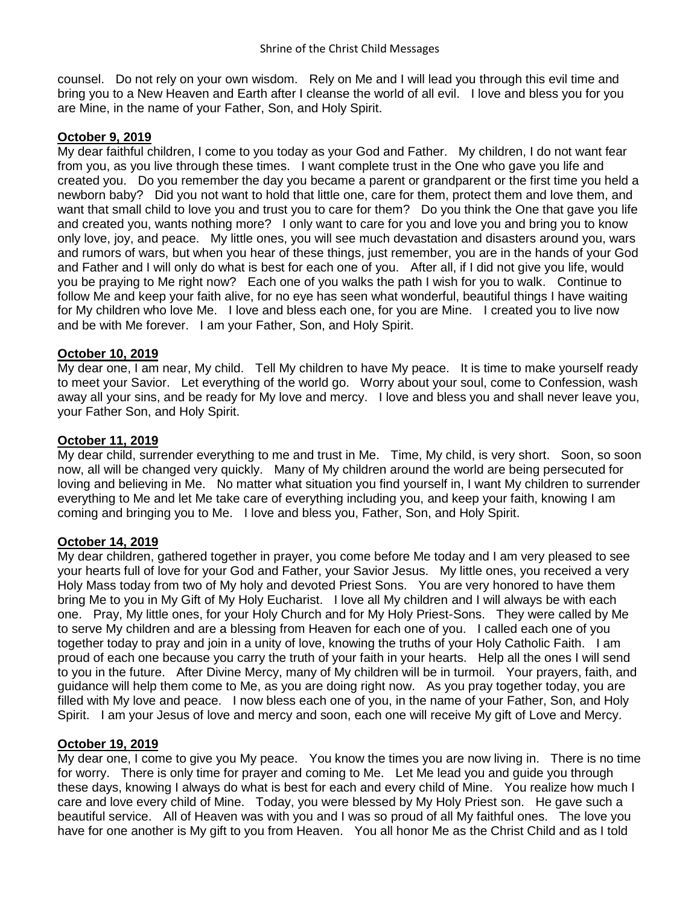counsel. Do not rely on your own wisdom. Rely on Me and I will lead you through this evil time and bring you to a New Heaven and Earth after I cleanse the world of all evil. I love and bless you for you are Mine, in the name of your Father, Son, and Holy Spirit.

#### **October 9, 2019**

My dear faithful children, I come to you today as your God and Father. My children, I do not want fear from you, as you live through these times. I want complete trust in the One who gave you life and created you. Do you remember the day you became a parent or grandparent or the first time you held a newborn baby? Did you not want to hold that little one, care for them, protect them and love them, and want that small child to love you and trust you to care for them? Do you think the One that gave you life and created you, wants nothing more? I only want to care for you and love you and bring you to know only love, joy, and peace. My little ones, you will see much devastation and disasters around you, wars and rumors of wars, but when you hear of these things, just remember, you are in the hands of your God and Father and I will only do what is best for each one of you. After all, if I did not give you life, would you be praying to Me right now? Each one of you walks the path I wish for you to walk. Continue to follow Me and keep your faith alive, for no eye has seen what wonderful, beautiful things I have waiting for My children who love Me. I love and bless each one, for you are Mine. I created you to live now and be with Me forever. I am your Father, Son, and Holy Spirit.

# **October 10, 2019**

My dear one, I am near, My child. Tell My children to have My peace. It is time to make yourself ready to meet your Savior. Let everything of the world go. Worry about your soul, come to Confession, wash away all your sins, and be ready for My love and mercy. I love and bless you and shall never leave you, your Father Son, and Holy Spirit.

#### **October 11, 2019**

My dear child, surrender everything to me and trust in Me. Time, My child, is very short. Soon, so soon now, all will be changed very quickly. Many of My children around the world are being persecuted for loving and believing in Me. No matter what situation you find yourself in, I want My children to surrender everything to Me and let Me take care of everything including you, and keep your faith, knowing I am coming and bringing you to Me. I love and bless you, Father, Son, and Holy Spirit.

# **October 14, 2019**

My dear children, gathered together in prayer, you come before Me today and I am very pleased to see your hearts full of love for your God and Father, your Savior Jesus. My little ones, you received a very Holy Mass today from two of My holy and devoted Priest Sons. You are very honored to have them bring Me to you in My Gift of My Holy Eucharist. I love all My children and I will always be with each one. Pray, My little ones, for your Holy Church and for My Holy Priest-Sons. They were called by Me to serve My children and are a blessing from Heaven for each one of you. I called each one of you together today to pray and join in a unity of love, knowing the truths of your Holy Catholic Faith. I am proud of each one because you carry the truth of your faith in your hearts. Help all the ones I will send to you in the future. After Divine Mercy, many of My children will be in turmoil. Your prayers, faith, and guidance will help them come to Me, as you are doing right now. As you pray together today, you are filled with My love and peace. I now bless each one of you, in the name of your Father, Son, and Holy Spirit. I am your Jesus of love and mercy and soon, each one will receive My gift of Love and Mercy.

# **October 19, 2019**

My dear one, I come to give you My peace. You know the times you are now living in. There is no time for worry. There is only time for prayer and coming to Me. Let Me lead you and guide you through these days, knowing I always do what is best for each and every child of Mine. You realize how much I care and love every child of Mine. Today, you were blessed by My Holy Priest son. He gave such a beautiful service. All of Heaven was with you and I was so proud of all My faithful ones. The love you have for one another is My gift to you from Heaven. You all honor Me as the Christ Child and as I told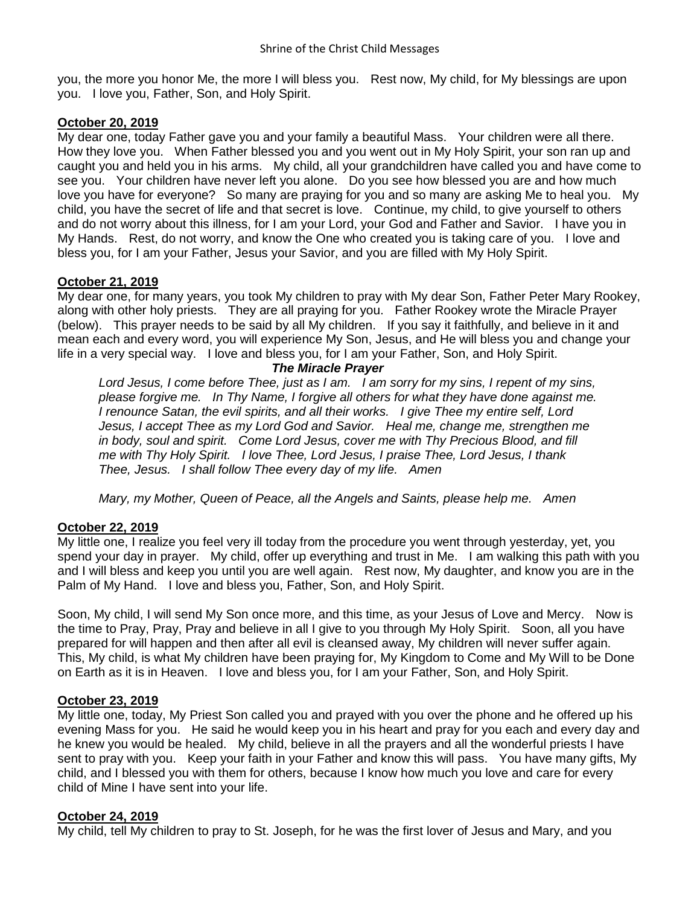you, the more you honor Me, the more I will bless you. Rest now, My child, for My blessings are upon you. I love you, Father, Son, and Holy Spirit.

# **October 20, 2019**

My dear one, today Father gave you and your family a beautiful Mass. Your children were all there. How they love you. When Father blessed you and you went out in My Holy Spirit, your son ran up and caught you and held you in his arms. My child, all your grandchildren have called you and have come to see you. Your children have never left you alone. Do you see how blessed you are and how much love you have for everyone? So many are praying for you and so many are asking Me to heal you. My child, you have the secret of life and that secret is love. Continue, my child, to give yourself to others and do not worry about this illness, for I am your Lord, your God and Father and Savior. I have you in My Hands. Rest, do not worry, and know the One who created you is taking care of you. I love and bless you, for I am your Father, Jesus your Savior, and you are filled with My Holy Spirit.

# **October 21, 2019**

My dear one, for many years, you took My children to pray with My dear Son, Father Peter Mary Rookey, along with other holy priests. They are all praying for you. Father Rookey wrote the Miracle Prayer (below). This prayer needs to be said by all My children. If you say it faithfully, and believe in it and mean each and every word, you will experience My Son, Jesus, and He will bless you and change your life in a very special way. I love and bless you, for I am your Father, Son, and Holy Spirit.

#### *The Miracle Prayer*

*Lord Jesus, I come before Thee, just as I am. I am sorry for my sins, I repent of my sins, please forgive me. In Thy Name, I forgive all others for what they have done against me. I renounce Satan, the evil spirits, and all their works. I give Thee my entire self, Lord Jesus, I accept Thee as my Lord God and Savior. Heal me, change me, strengthen me in body, soul and spirit. Come Lord Jesus, cover me with Thy Precious Blood, and fill me with Thy Holy Spirit. I love Thee, Lord Jesus, I praise Thee, Lord Jesus, I thank Thee, Jesus. I shall follow Thee every day of my life. Amen*

*Mary, my Mother, Queen of Peace, all the Angels and Saints, please help me. Amen*

# **October 22, 2019**

My little one, I realize you feel very ill today from the procedure you went through yesterday, yet, you spend your day in prayer. My child, offer up everything and trust in Me. I am walking this path with you and I will bless and keep you until you are well again. Rest now, My daughter, and know you are in the Palm of My Hand. I love and bless you, Father, Son, and Holy Spirit.

Soon, My child, I will send My Son once more, and this time, as your Jesus of Love and Mercy. Now is the time to Pray, Pray, Pray and believe in all I give to you through My Holy Spirit. Soon, all you have prepared for will happen and then after all evil is cleansed away, My children will never suffer again. This, My child, is what My children have been praying for, My Kingdom to Come and My Will to be Done on Earth as it is in Heaven. I love and bless you, for I am your Father, Son, and Holy Spirit.

# **October 23, 2019**

My little one, today, My Priest Son called you and prayed with you over the phone and he offered up his evening Mass for you. He said he would keep you in his heart and pray for you each and every day and he knew you would be healed. My child, believe in all the prayers and all the wonderful priests I have sent to pray with you. Keep your faith in your Father and know this will pass. You have many gifts, My child, and I blessed you with them for others, because I know how much you love and care for every child of Mine I have sent into your life.

# **October 24, 2019**

My child, tell My children to pray to St. Joseph, for he was the first lover of Jesus and Mary, and you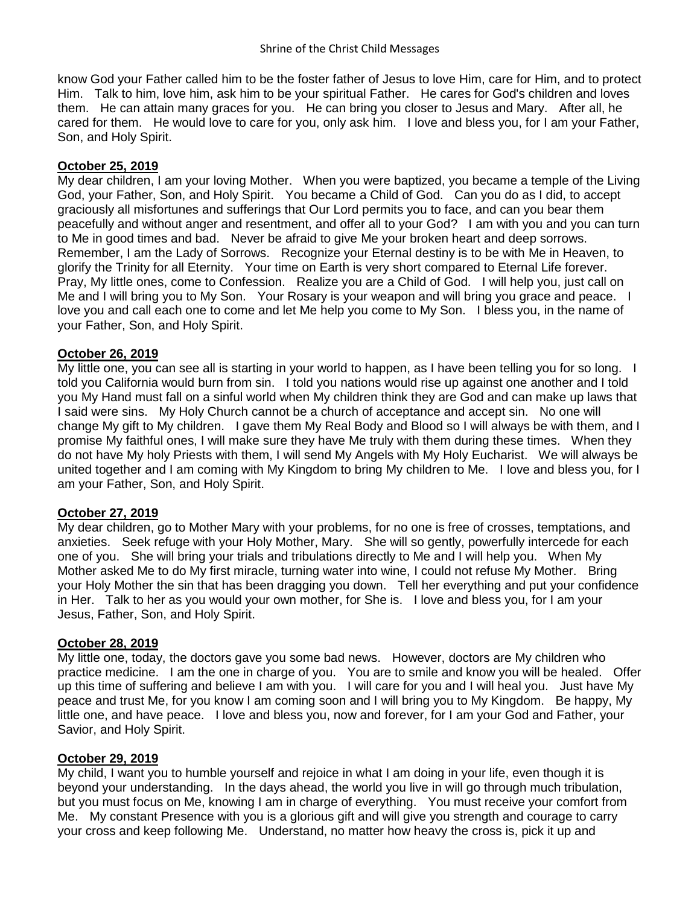know God your Father called him to be the foster father of Jesus to love Him, care for Him, and to protect Him. Talk to him, love him, ask him to be your spiritual Father. He cares for God's children and loves them. He can attain many graces for you. He can bring you closer to Jesus and Mary. After all, he cared for them. He would love to care for you, only ask him. I love and bless you, for I am your Father, Son, and Holy Spirit.

# **October 25, 2019**

My dear children, I am your loving Mother. When you were baptized, you became a temple of the Living God, your Father, Son, and Holy Spirit. You became a Child of God. Can you do as I did, to accept graciously all misfortunes and sufferings that Our Lord permits you to face, and can you bear them peacefully and without anger and resentment, and offer all to your God? I am with you and you can turn to Me in good times and bad. Never be afraid to give Me your broken heart and deep sorrows. Remember, I am the Lady of Sorrows. Recognize your Eternal destiny is to be with Me in Heaven, to glorify the Trinity for all Eternity. Your time on Earth is very short compared to Eternal Life forever. Pray, My little ones, come to Confession. Realize you are a Child of God. I will help you, just call on Me and I will bring you to My Son. Your Rosary is your weapon and will bring you grace and peace. I love you and call each one to come and let Me help you come to My Son. I bless you, in the name of your Father, Son, and Holy Spirit.

# **October 26, 2019**

My little one, you can see all is starting in your world to happen, as I have been telling you for so long. I told you California would burn from sin. I told you nations would rise up against one another and I told you My Hand must fall on a sinful world when My children think they are God and can make up laws that I said were sins. My Holy Church cannot be a church of acceptance and accept sin. No one will change My gift to My children. I gave them My Real Body and Blood so I will always be with them, and I promise My faithful ones, I will make sure they have Me truly with them during these times. When they do not have My holy Priests with them, I will send My Angels with My Holy Eucharist. We will always be united together and I am coming with My Kingdom to bring My children to Me. I love and bless you, for I am your Father, Son, and Holy Spirit.

# **October 27, 2019**

My dear children, go to Mother Mary with your problems, for no one is free of crosses, temptations, and anxieties. Seek refuge with your Holy Mother, Mary. She will so gently, powerfully intercede for each one of you. She will bring your trials and tribulations directly to Me and I will help you. When My Mother asked Me to do My first miracle, turning water into wine, I could not refuse My Mother. Bring your Holy Mother the sin that has been dragging you down. Tell her everything and put your confidence in Her. Talk to her as you would your own mother, for She is. I love and bless you, for I am your Jesus, Father, Son, and Holy Spirit.

# **October 28, 2019**

My little one, today, the doctors gave you some bad news. However, doctors are My children who practice medicine. I am the one in charge of you. You are to smile and know you will be healed. Offer up this time of suffering and believe I am with you. I will care for you and I will heal you. Just have My peace and trust Me, for you know I am coming soon and I will bring you to My Kingdom. Be happy, My little one, and have peace. I love and bless you, now and forever, for I am your God and Father, your Savior, and Holy Spirit.

# **October 29, 2019**

My child, I want you to humble yourself and rejoice in what I am doing in your life, even though it is beyond your understanding. In the days ahead, the world you live in will go through much tribulation, but you must focus on Me, knowing I am in charge of everything. You must receive your comfort from Me. My constant Presence with you is a glorious gift and will give you strength and courage to carry your cross and keep following Me. Understand, no matter how heavy the cross is, pick it up and